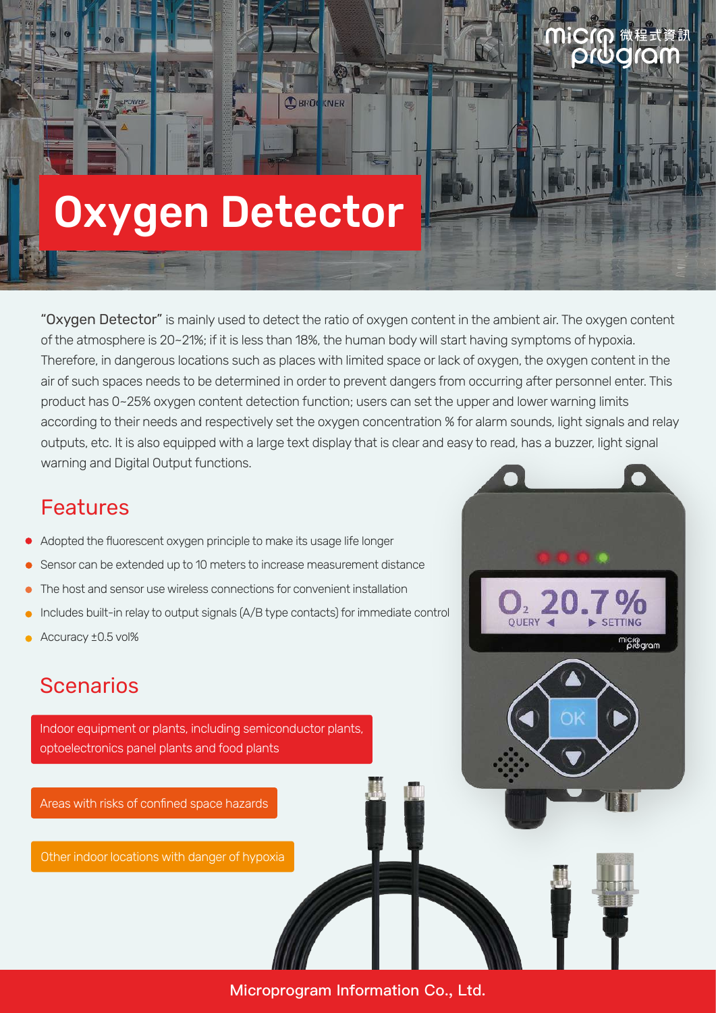# Oxygen Detector

"Oxygen Detector" is mainly used to detect the ratio of oxygen content in the ambient air. The oxygen content of the atmosphere is 20~21%; if it is less than 18%, the human body will start having symptoms of hypoxia. Therefore, in dangerous locations such as places with limited space or lack of oxygen, the oxygen content in the air of such spaces needs to be determined in order to prevent dangers from occurring after personnel enter. This product has 0~25% oxygen content detection function; users can set the upper and lower warning limits according to their needs and respectively set the oxygen concentration % for alarm sounds, light signals and relay outputs, etc. It is also equipped with a large text display that is clear and easy to read, has a buzzer, light signal warning and Digital Output functions.

**DBRUCKNER** 

orda

micro<br>program

#### Features

- Adopted the fluorescent oxygen principle to make its usage life longer
- Sensor can be extended up to 10 meters to increase measurement distance
- The host and sensor use wireless connections for convenient installation
- Includes built-in relay to output signals (A/B type contacts) for immediate control
- Accuracy ±0.5 vol%

#### **Scenarios**

Indoor equipment or plants, including semiconductor plants, optoelectronics panel plants and food plants

Areas with risks of confined space hazards

Other indoor locations with danger of hypoxia

Microprogram Information Co., Ltd.